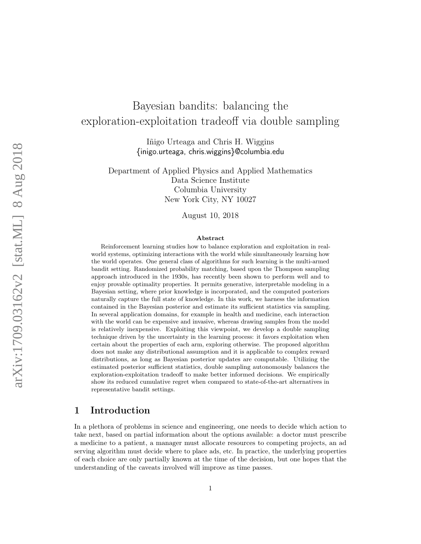# Bayesian bandits: balancing the exploration-exploitation tradeoff via double sampling

Iñigo Urteaga and Chris H. Wiggins {inigo.urteaga, chris.wiggins}@columbia.edu

Department of Applied Physics and Applied Mathematics Data Science Institute Columbia University New York City, NY 10027

August 10, 2018

#### Abstract

Reinforcement learning studies how to balance exploration and exploitation in realworld systems, optimizing interactions with the world while simultaneously learning how the world operates. One general class of algorithms for such learning is the multi-armed bandit setting. Randomized probability matching, based upon the Thompson sampling approach introduced in the 1930s, has recently been shown to perform well and to enjoy provable optimality properties. It permits generative, interpretable modeling in a Bayesian setting, where prior knowledge is incorporated, and the computed posteriors naturally capture the full state of knowledge. In this work, we harness the information contained in the Bayesian posterior and estimate its sufficient statistics via sampling. In several application domains, for example in health and medicine, each interaction with the world can be expensive and invasive, whereas drawing samples from the model is relatively inexpensive. Exploiting this viewpoint, we develop a double sampling technique driven by the uncertainty in the learning process: it favors exploitation when certain about the properties of each arm, exploring otherwise. The proposed algorithm does not make any distributional assumption and it is applicable to complex reward distributions, as long as Bayesian posterior updates are computable. Utilizing the estimated posterior sufficient statistics, double sampling autonomously balances the exploration-exploitation tradeoff to make better informed decisions. We empirically show its reduced cumulative regret when compared to state-of-the-art alternatives in representative bandit settings.

## 1 Introduction

In a plethora of problems in science and engineering, one needs to decide which action to take next, based on partial information about the options available: a doctor must prescribe a medicine to a patient, a manager must allocate resources to competing projects, an ad serving algorithm must decide where to place ads, etc. In practice, the underlying properties of each choice are only partially known at the time of the decision, but one hopes that the understanding of the caveats involved will improve as time passes.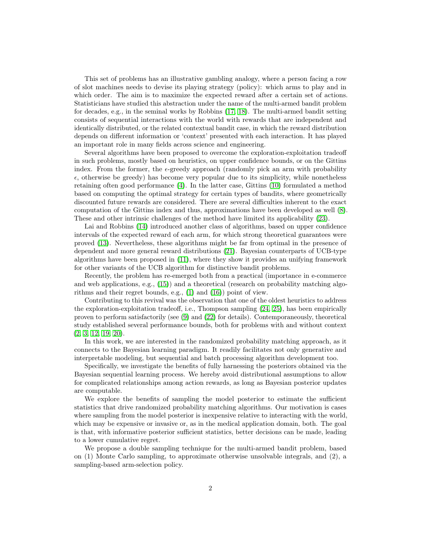This set of problems has an illustrative gambling analogy, where a person facing a row of slot machines needs to devise its playing strategy (policy): which arms to play and in which order. The aim is to maximize the expected reward after a certain set of actions. Statisticians have studied this abstraction under the name of the multi-armed bandit problem for decades, e.g., in the seminal works by Robbins [\(17,](#page-14-0) [18\)](#page-14-1). The multi-armed bandit setting consists of sequential interactions with the world with rewards that are independent and identically distributed, or the related contextual bandit case, in which the reward distribution depends on different information or 'context' presented with each interaction. It has played an important role in many fields across science and engineering.

Several algorithms have been proposed to overcome the exploration-exploitation tradeoff in such problems, mostly based on heuristics, on upper confidence bounds, or on the Gittins index. From the former, the  $\epsilon$ -greedy approach (randomly pick an arm with probability  $\epsilon$ , otherwise be greedy) has become very popular due to its simplicity, while nonetheless retaining often good performance [\(4\)](#page-13-0). In the latter case, Gittins [\(10\)](#page-14-2) formulated a method based on computing the optimal strategy for certain types of bandits, where geometrically discounted future rewards are considered. There are several difficulties inherent to the exact computation of the Gittins index and thus, approximations have been developed as well [\(8\)](#page-14-3). These and other intrinsic challenges of the method have limited its applicability [\(23\)](#page-15-0).

Lai and Robbins [\(14\)](#page-14-4) introduced another class of algorithms, based on upper confidence intervals of the expected reward of each arm, for which strong theoretical guarantees were proved [\(13\)](#page-14-5). Nevertheless, these algorithms might be far from optimal in the presence of dependent and more general reward distributions [\(21\)](#page-15-1). Bayesian counterparts of UCB-type algorithms have been proposed in [\(11\)](#page-14-6), where they show it provides an unifying framework for other variants of the UCB algorithm for distinctive bandit problems.

Recently, the problem has re-emerged both from a practical (importance in e-commerce and web applications, e.g.,  $(15)$ ) and a theoretical (research on probability matching algorithms and their regret bounds, e.g., [\(1\)](#page-13-1) and [\(16\)](#page-14-8)) point of view.

Contributing to this revival was the observation that one of the oldest heuristics to address the exploration-exploitation tradeoff, i.e., Thompson sampling [\(24,](#page-15-2) [25\)](#page-15-3), has been empirically proven to perform satisfactorily (see [\(9\)](#page-14-9) and [\(22\)](#page-15-4) for details). Contemporaneously, theoretical study established several performance bounds, both for problems with and without context [\(2,](#page-13-2) [3,](#page-13-3) [12,](#page-14-10) [19,](#page-14-11) [20\)](#page-15-5).

In this work, we are interested in the randomized probability matching approach, as it connects to the Bayesian learning paradigm. It readily facilitates not only generative and interpretable modeling, but sequential and batch processing algorithm development too.

Specifically, we investigate the benefits of fully harnessing the posteriors obtained via the Bayesian sequential learning process. We hereby avoid distributional assumptions to allow for complicated relationships among action rewards, as long as Bayesian posterior updates are computable.

We explore the benefits of sampling the model posterior to estimate the sufficient statistics that drive randomized probability matching algorithms. Our motivation is cases where sampling from the model posterior is inexpensive relative to interacting with the world, which may be expensive or invasive or, as in the medical application domain, both. The goal is that, with informative posterior sufficient statistics, better decisions can be made, leading to a lower cumulative regret.

We propose a double sampling technique for the multi-armed bandit problem, based on (1) Monte Carlo sampling, to approximate otherwise unsolvable integrals, and (2), a sampling-based arm-selection policy.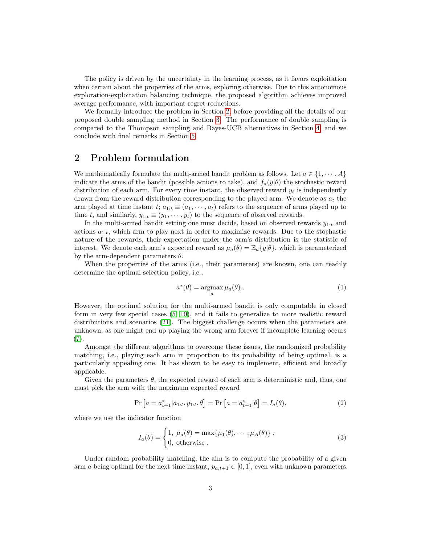The policy is driven by the uncertainty in the learning process, as it favors exploitation when certain about the properties of the arms, exploring otherwise. Due to this autonomous exploration-exploitation balancing technique, the proposed algorithm achieves improved average performance, with important regret reductions.

We formally introduce the problem in Section [2,](#page-2-0) before providing all the details of our proposed double sampling method in Section [3.](#page-3-0) The performance of double sampling is compared to the Thompson sampling and Bayes-UCB alternatives in Section [4,](#page-7-0) and we conclude with final remarks in Section [5.](#page-13-4)

## <span id="page-2-0"></span>2 Problem formulation

We mathematically formulate the multi-armed bandit problem as follows. Let  $a \in \{1, \dots, A\}$ indicate the arms of the bandit (possible actions to take), and  $f_a(y|\theta)$  the stochastic reward distribution of each arm. For every time instant, the observed reward  $y_t$  is independently drawn from the reward distribution corresponding to the played arm. We denote as  $a_t$  the arm played at time instant  $t; a_{1:t} \equiv (a_1, \dots, a_t)$  refers to the sequence of arms played up to time t, and similarly,  $y_{1:t} \equiv (y_1, \dots, y_t)$  to the sequence of observed rewards.

In the multi-armed bandit setting one must decide, based on observed rewards  $y_{1:t}$  and actions  $a_{1:t}$ , which arm to play next in order to maximize rewards. Due to the stochastic nature of the rewards, their expectation under the arm's distribution is the statistic of interest. We denote each arm's expected reward as  $\mu_a(\theta) = \mathbb{E}_a\{y|\theta\}$ , which is parameterized by the arm-dependent parameters  $\theta$ .

When the properties of the arms (i.e., their parameters) are known, one can readily determine the optimal selection policy, i.e.,

$$
a^*(\theta) = \operatorname*{argmax}_{a} \mu_a(\theta) . \qquad (1)
$$

However, the optimal solution for the multi-armed bandit is only computable in closed form in very few special cases [\(5,](#page-13-5) [10\)](#page-14-2), and it fails to generalize to more realistic reward distributions and scenarios [\(21\)](#page-15-1). The biggest challenge occurs when the parameters are unknown, as one might end up playing the wrong arm forever if incomplete learning occurs [\(7\)](#page-14-12).

Amongst the different algorithms to overcome these issues, the randomized probability matching, i.e., playing each arm in proportion to its probability of being optimal, is a particularly appealing one. It has shown to be easy to implement, efficient and broadly applicable.

Given the parameters  $\theta$ , the expected reward of each arm is deterministic and, thus, one must pick the arm with the maximum expected reward

$$
\Pr\left[a=a_{t+1}^*|a_{1:t}, y_{1:t}, \theta\right] = \Pr\left[a=a_{t+1}^*|\theta\right] = I_a(\theta),\tag{2}
$$

where we use the indicator function

<span id="page-2-1"></span>
$$
I_a(\theta) = \begin{cases} 1, \ \mu_a(\theta) = \max\{\mu_1(\theta), \cdots, \mu_A(\theta)\}, \\ 0, \ \text{otherwise} \end{cases}
$$
 (3)

Under random probability matching, the aim is to compute the probability of a given arm a being optimal for the next time instant,  $p_{a,t+1} \in [0,1]$ , even with unknown parameters.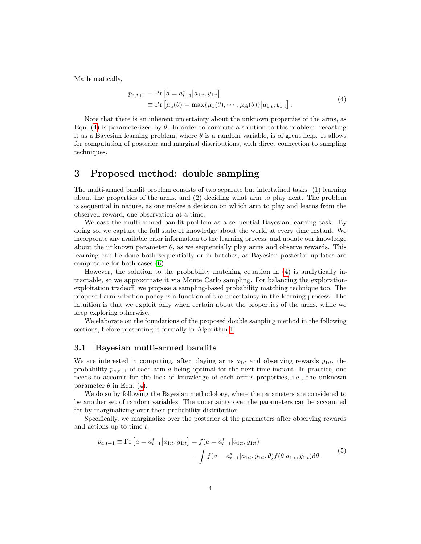Mathematically,

<span id="page-3-1"></span>
$$
p_{a,t+1} \equiv \Pr\left[a = a_{t+1}^* | a_{1:t}, y_{1:t}\right] \equiv \Pr\left[\mu_a(\theta) = \max\{\mu_1(\theta), \cdots, \mu_A(\theta)\} | a_{1:t}, y_{1:t}\right].
$$
\n(4)

Note that there is an inherent uncertainty about the unknown properties of the arms, as Eqn. [\(4\)](#page-3-1) is parameterized by  $\theta$ . In order to compute a solution to this problem, recasting it as a Bayesian learning problem, where  $\theta$  is a random variable, is of great help. It allows for computation of posterior and marginal distributions, with direct connection to sampling techniques.

## <span id="page-3-0"></span>3 Proposed method: double sampling

The multi-armed bandit problem consists of two separate but intertwined tasks: (1) learning about the properties of the arms, and (2) deciding what arm to play next. The problem is sequential in nature, as one makes a decision on which arm to play and learns from the observed reward, one observation at a time.

We cast the multi-armed bandit problem as a sequential Bayesian learning task. By doing so, we capture the full state of knowledge about the world at every time instant. We incorporate any available prior information to the learning process, and update our knowledge about the unknown parameter  $\theta$ , as we sequentially play arms and observe rewards. This learning can be done both sequentially or in batches, as Bayesian posterior updates are computable for both cases [\(6\)](#page-14-13).

However, the solution to the probability matching equation in [\(4\)](#page-3-1) is analytically intractable, so we approximate it via Monte Carlo sampling. For balancing the explorationexploitation tradeoff, we propose a sampling-based probability matching technique too. The proposed arm-selection policy is a function of the uncertainty in the learning process. The intuition is that we exploit only when certain about the properties of the arms, while we keep exploring otherwise.

We elaborate on the foundations of the proposed double sampling method in the following sections, before presenting it formally in Algorithm [1.](#page-6-0)

#### 3.1 Bayesian multi-armed bandits

We are interested in computing, after playing arms  $a_{1:t}$  and observing rewards  $y_{1:t}$ , the probability  $p_{a,t+1}$  of each arm a being optimal for the next time instant. In practice, one needs to account for the lack of knowledge of each arm's properties, i.e., the unknown parameter  $\theta$  in Eqn. [\(4\)](#page-3-1).

We do so by following the Bayesian methodology, where the parameters are considered to be another set of random variables. The uncertainty over the parameters can be accounted for by marginalizing over their probability distribution.

Specifically, we marginalize over the posterior of the parameters after observing rewards and actions up to time  $t$ ,

$$
p_{a,t+1} \equiv \Pr\left[a = a_{t+1}^* \middle| a_{1:t}, y_{1:t}\right] = f(a = a_{t+1}^* \middle| a_{1:t}, y_{1:t})
$$
\n
$$
= \int f(a = a_{t+1}^* \middle| a_{1:t}, y_{1:t}, \theta) f(\theta \middle| a_{1:t}, y_{1:t}) d\theta. \tag{5}
$$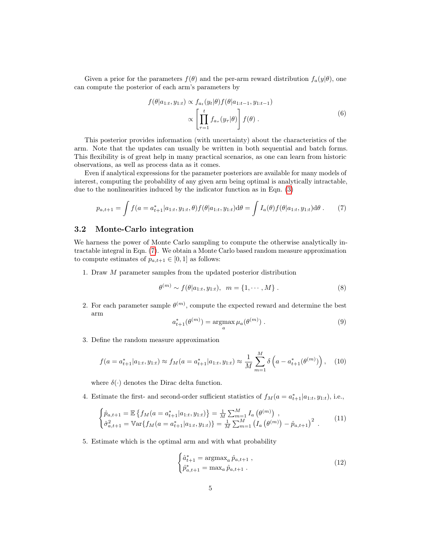Given a prior for the parameters  $f(\theta)$  and the per-arm reward distribution  $f_a(y|\theta)$ , one can compute the posterior of each arm's parameters by

<span id="page-4-0"></span>
$$
f(\theta|a_{1:t}, y_{1:t}) \propto f_{a_t}(y_t|\theta) f(\theta|a_{1:t-1}, y_{1:t-1})
$$

$$
\propto \left[\prod_{\tau=1}^t f_{a_\tau}(y_\tau|\theta)\right] f(\theta).
$$
 (6)

This posterior provides information (with uncertainty) about the characteristics of the arm. Note that the updates can usually be written in both sequential and batch forms. This flexibility is of great help in many practical scenarios, as one can learn from historic observations, as well as process data as it comes.

Even if analytical expressions for the parameter posteriors are available for many models of interest, computing the probability of any given arm being optimal is analytically intractable, due to the nonlinearities induced by the indicator function as in Eqn. [\(3\)](#page-2-1)

$$
p_{a,t+1} = \int f(a = a_{t+1}^* | a_{1:t}, y_{1:t}, \theta) f(\theta | a_{1:t}, y_{1:t}) d\theta = \int I_a(\theta) f(\theta | a_{1:t}, y_{1:t}) d\theta.
$$
 (7)

#### 3.2 Monte-Carlo integration

We harness the power of Monte Carlo sampling to compute the otherwise analytically intractable integral in Eqn. [\(7\)](#page-4-0). We obtain a Monte Carlo based random measure approximation to compute estimates of  $p_{a,t+1} \in [0,1]$  as follows:

1. Draw M parameter samples from the updated posterior distribution

$$
\theta^{(m)} \sim f(\theta|a_{1:t}, y_{1:t}), \ \ m = \{1, \cdots, M\} \ . \tag{8}
$$

2. For each parameter sample  $\theta^{(m)}$ , compute the expected reward and determine the best arm

<span id="page-4-2"></span>
$$
a_{t+1}^*(\theta^{(m)}) = \underset{a}{\operatorname{argmax}} \,\mu_a(\theta^{(m)})\,. \tag{9}
$$

3. Define the random measure approximation

$$
f(a = a_{t+1}^* | a_{1:t}, y_{1:t}) \approx f_M(a = a_{t+1}^* | a_{1:t}, y_{1:t}) \approx \frac{1}{M} \sum_{m=1}^M \delta\left(a - a_{t+1}^*(\theta^{(m)})\right), \quad (10)
$$

where  $\delta(\cdot)$  denotes the Dirac delta function.

4. Estimate the first- and second-order sufficient statistics of  $f_M(a = a_{t+1}^* | a_{1:t}, y_{1:t})$ , i.e.,

$$
\begin{cases}\n\hat{p}_{a,t+1} = \mathbb{E}\left\{f_M(a = a_{t+1}^*|a_{1:t}, y_{1:t})\right\} = \frac{1}{M} \sum_{m=1}^M I_a\left(\theta^{(m)}\right) ,\\
\hat{\sigma}_{a,t+1}^2 = \mathbb{V}\text{ar}\left\{f_M(a = a_{t+1}^*|a_{1:t}, y_{1:t})\right\} = \frac{1}{M} \sum_{m=1}^M \left(I_a\left(\theta^{(m)}\right) - \hat{p}_{a,t+1}\right)^2 .\n\end{cases} (11)
$$

5. Estimate which is the optimal arm and with what probability

<span id="page-4-1"></span>
$$
\begin{cases}\n\hat{a}_{t+1}^* = \operatorname{argmax}_a \hat{p}_{a,t+1} ,\\ \n\hat{p}_{a,t+1}^* = \max_a \hat{p}_{a,t+1} .\n\end{cases} \tag{12}
$$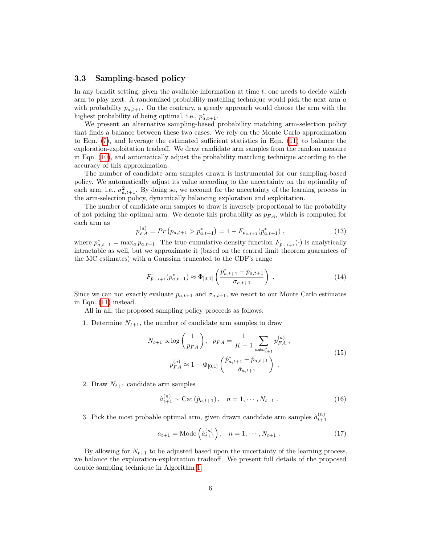#### 3.3 Sampling-based policy

In any bandit setting, given the available information at time  $t$ , one needs to decide which arm to play next. A randomized probability matching technique would pick the next arm a with probability  $p_{a,t+1}$ . On the contrary, a greedy approach would choose the arm with the highest probability of being optimal, i.e.,  $p_{a,t+1}^*$ .

We present an alternative sampling-based probability matching arm-selection policy that finds a balance between these two cases. We rely on the Monte Carlo approximation to Eqn. [\(7\)](#page-4-0), and leverage the estimated sufficient statistics in Eqn. [\(11\)](#page-4-1) to balance the exploration-exploitation tradeoff. We draw candidate arm samples from the random measure in Eqn. [\(10\)](#page-4-2), and automatically adjust the probability matching technique according to the accuracy of this approximation.

The number of candidate arm samples drawn is instrumental for our sampling-based policy. We automatically adjust its value according to the uncertainty on the optimality of each arm, i.e.,  $\sigma_{a,t+1}^2$ . By doing so, we account for the uncertainty of the learning process in the arm-selection policy, dynamically balancing exploration and exploitation.

The number of candidate arm samples to draw is inversely proportional to the probability of not picking the optimal arm. We denote this probability as  $p_{FA}$ , which is computed for each arm as

$$
p_{FA}^{(a)} = Pr(p_{a,t+1} > p_{a,t+1}^*) = 1 - F_{p_{a,t+1}}(p_{a,t+1}^*) ,
$$
\n(13)

where  $p_{a,t+1}^* = \max_a p_{a,t+1}$ . The true cumulative density function  $F_{p_{a,t+1}}(\cdot)$  is analytically intractable as well, but we approximate it (based on the central limit theorem guarantees of the MC estimates) with a Gaussian truncated to the CDF's range

$$
F_{p_{a,t+1}}(p_{a,t+1}^*) \approx \Phi_{[0,1]} \left( \frac{p_{a,t+1}^* - p_{a,t+1}}{\sigma_{a,t+1}} \right) \,. \tag{14}
$$

Since we can not exactly evaluate  $p_{a,t+1}$  and  $\sigma_{a,t+1}$ , we resort to our Monte Carlo estimates in Eqn. [\(11\)](#page-4-1) instead.

All in all, the proposed sampling policy proceeds as follows:

1. Determine  $N_{t+1}$ , the number of candidate arm samples to draw

<span id="page-5-0"></span>
$$
N_{t+1} \propto \log\left(\frac{1}{p_{FA}}\right), \ \ p_{FA} = \frac{1}{K-1} \sum_{a \neq \hat{a}_{t+1}^*} p_{FA}^{(a)},
$$

$$
p_{FA}^{(a)} \approx 1 - \Phi_{[0,1]} \left(\frac{\hat{p}_{a,t+1}^* - \hat{p}_{a,t+1}}{\hat{\sigma}_{a,t+1}}\right).
$$
(15)

2. Draw  $N_{t+1}$  candidate arm samples

$$
\hat{a}_{t+1}^{(n)} \sim \text{Cat}\left(\hat{p}_{a,t+1}\right), \quad n = 1, \cdots, N_{t+1} \tag{16}
$$

3. Pick the most probable optimal arm, given drawn candidate arm samples  $\hat{a}_{t+1}^{(n)}$ 

$$
a_{t+1} = \text{Mode}\left(\hat{a}_{t+1}^{(n)}\right), \quad n = 1, \cdots, N_{t+1} \,. \tag{17}
$$

By allowing for  $N_{t+1}$  to be adjusted based upon the uncertainty of the learning process, we balance the exploration-exploitation tradeoff. We present full details of the proposed double sampling technique in Algorithm [1.](#page-6-0)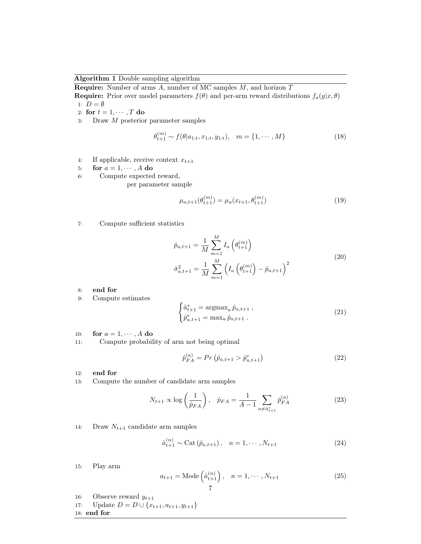<span id="page-6-0"></span>Algorithm 1 Double sampling algorithm

**Require:** Number of arms  $A$ , number of MC samples  $M$ , and horizon  $T$ 

**Require:** Prior over model parameters  $f(\theta)$  and per-arm reward distributions  $f_a(y|x,\theta)$ 1:  $D = \emptyset$ 

- 2: for  $t = 1, \cdots, T$  do
- 3: Draw M posterior parameter samples

$$
\theta_{t+1}^{(m)} \sim f(\theta|a_{1:t}, x_{1:t}, y_{1:t}), \quad m = \{1, \cdots, M\}
$$
\n(18)

4: If applicable, receive context  $x_{t+1}$ 

5: for 
$$
a = 1, \dots, A
$$
 do

6: Compute expected reward,

per parameter sample

$$
\mu_{a,t+1}(\theta_{t+1}^{(m)}) = \mu_a(x_{t+1}, \theta_{t+1}^{(m)})
$$
\n(19)

7: Compute sufficient statistics

$$
\hat{p}_{a,t+1} = \frac{1}{M} \sum_{m=1}^{M} I_a \left( \theta_{t+1}^{(m)} \right)
$$
\n
$$
\hat{\sigma}_{a,t+1}^2 = \frac{1}{M} \sum_{m=1}^{M} \left( I_a \left( \theta_{t+1}^{(m)} \right) - \hat{p}_{a,t+1} \right)^2
$$
\n(20)

8: end for

9: Compute estimates

$$
\begin{cases} \hat{a}_{t+1}^* = \operatorname{argmax}_a \hat{p}_{a,t+1} ,\\ \hat{p}_{a,t+1}^* = \max_a \hat{p}_{a,t+1} . \end{cases} \tag{21}
$$

10: for  $a = 1, \dots, A$  do

11: Compute probability of arm not being optimal

$$
\hat{p}_{FA}^{(a)} = Pr\left(\hat{p}_{a,t+1} > \hat{p}_{a,t+1}^*\right) \tag{22}
$$

- 12: end for
- 13: Compute the number of candidate arm samples

$$
N_{t+1} \propto \log\left(\frac{1}{\hat{p}_{FA}}\right), \quad \hat{p}_{FA} = \frac{1}{A-1} \sum_{a \neq \hat{a}_{t+1}^*} \hat{p}_{FA}^{(a)} \tag{23}
$$

14: Draw  $N_{t+1}$  candidate arm samples

$$
\hat{a}_{t+1}^{(n)} \sim \text{Cat}\left(\hat{p}_{a,t+1}\right), \quad n = 1, \cdots, N_{t+1} \tag{24}
$$

15: Play arm

$$
a_{t+1} = \text{Mode}\left(\hat{a}_{t+1}^{(n)}\right), \quad n = 1, \cdots, N_{t+1} \tag{25}
$$

- 16: Observe reward  $y_{t+1}$
- 17: Update  $D = D \cup \{x_{t+1}, a_{t+1}, y_{t+1}\}\$ 18: end for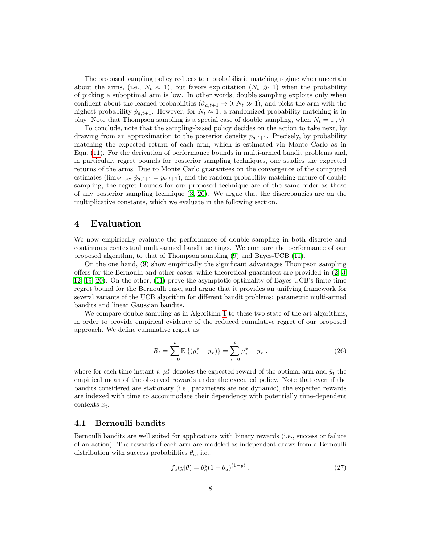The proposed sampling policy reduces to a probabilistic matching regime when uncertain about the arms, (i.e.,  $N_t \approx 1$ ), but favors exploitation  $(N_t \gg 1)$  when the probability of picking a suboptimal arm is low. In other words, double sampling exploits only when confident about the learned probabilities  $(\hat{\sigma}_{a,t+1} \to 0, N_t \gg 1)$ , and picks the arm with the highest probability  $\hat{p}_{a,t+1}$ . However, for  $N_t \approx 1$ , a randomized probability matching is in play. Note that Thompson sampling is a special case of double sampling, when  $N_t = 1$ ,  $\forall t$ .

To conclude, note that the sampling-based policy decides on the action to take next, by drawing from an approximation to the posterior density  $p_{a,t+1}$ . Precisely, by probability matching the expected return of each arm, which is estimated via Monte Carlo as in Eqn. [\(11\)](#page-4-1). For the derivation of performance bounds in multi-armed bandit problems and, in particular, regret bounds for posterior sampling techniques, one studies the expected returns of the arms. Due to Monte Carlo guarantees on the convergence of the computed estimates ( $\lim_{M\to\infty} \hat{p}_{a,t+1} = p_{a,t+1}$ ), and the random probability matching nature of double sampling, the regret bounds for our proposed technique are of the same order as those of any posterior sampling technique  $(3, 20)$  $(3, 20)$  $(3, 20)$ . We argue that the discrepancies are on the multiplicative constants, which we evaluate in the following section.

## <span id="page-7-0"></span>4 Evaluation

We now empirically evaluate the performance of double sampling in both discrete and continuous contextual multi-armed bandit settings. We compare the performance of our proposed algorithm, to that of Thompson sampling [\(9\)](#page-14-9) and Bayes-UCB [\(11\)](#page-14-6).

On the one hand, [\(9\)](#page-14-9) show empirically the significant advantages Thompson sampling offers for the Bernoulli and other cases, while theoretical guarantees are provided in [\(2,](#page-13-2) [3,](#page-13-3) [12,](#page-14-10) [19,](#page-14-11) [20\)](#page-15-5). On the other, [\(11\)](#page-14-6) prove the asymptotic optimality of Bayes-UCB's finite-time regret bound for the Bernoulli case, and argue that it provides an unifying framework for several variants of the UCB algorithm for different bandit problems: parametric multi-armed bandits and linear Gaussian bandits.

We compare double sampling as in Algorithm [1](#page-6-0) to these two state-of-the-art algorithms, in order to provide empirical evidence of the reduced cumulative regret of our proposed approach. We define cumulative regret as

$$
R_t = \sum_{\tau=0}^t \mathbb{E}\left\{(y_{\tau}^* - y_{\tau})\right\} = \sum_{\tau=0}^t \mu_{\tau}^* - \bar{y}_{\tau} , \qquad (26)
$$

where for each time instant t,  $\mu_t^*$  denotes the expected reward of the optimal arm and  $\bar{y}_t$  the empirical mean of the observed rewards under the executed policy. Note that even if the bandits considered are stationary (i.e., parameters are not dynamic), the expected rewards are indexed with time to accommodate their dependency with potentially time-dependent contexts  $x_t$ .

### 4.1 Bernoulli bandits

Bernoulli bandits are well suited for applications with binary rewards (i.e., success or failure of an action). The rewards of each arm are modeled as independent draws from a Bernoulli distribution with success probabilities  $\theta_a$ , i.e.,

$$
f_a(y|\theta) = \theta_a^y (1 - \theta_a)^{(1-y)} . \tag{27}
$$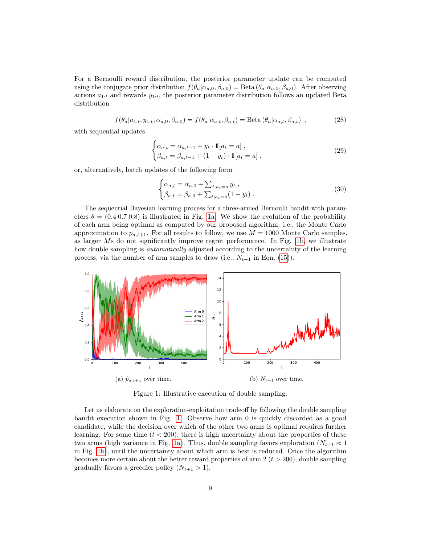For a Bernoulli reward distribution, the posterior parameter update can be computed using the conjugate prior distribution  $f(\theta_a|\alpha_{a,0}, \beta_{a,0}) = \text{Beta}(\theta_a|\alpha_{a,0}, \beta_{a,0})$ . After observing actions  $a_{1:t}$  and rewards  $y_{1:t}$ , the posterior parameter distribution follows an updated Beta distribution

$$
f(\theta_a|a_{1:t}, y_{1:t}, \alpha_{a,0}, \beta_{a,0}) = f(\theta_a|\alpha_{a,t}, \beta_{a,t}) = \text{Beta}(\theta_a|\alpha_{a,t}, \beta_{a,t}) , \qquad (28)
$$

with sequential updates

$$
\begin{cases} \alpha_{a,t} = \alpha_{a,t-1} + y_t \cdot \mathbb{1}[a_t = a], \\ \beta_{a,t} = \beta_{a,t-1} + (1 - y_t) \cdot \mathbb{1}[a_t = a], \end{cases}
$$
 (29)

or, alternatively, batch updates of the following form

$$
\begin{cases} \alpha_{a,t} = \alpha_{a,0} + \sum_{t|a_t=a} y_t ,\\ \beta_{a,t} = \beta_{a,0} + \sum_{t|a_t=a} (1 - y_t) . \end{cases}
$$
 (30)

The sequential Bayesian learning process for a three-armed Bernoulli bandit with parameters  $\theta = (0.4 \ 0.7 \ 0.8)$  is illustrated in Fig. [1a.](#page-8-0) We show the evolution of the probability of each arm being optimal as computed by our proposed algorithm: i.e., the Monte Carlo approximation to  $p_{a,t+1}$ . For all results to follow, we use  $M = 1000$  Monte Carlo samples, as larger Ms do not significantly improve regret performance. In Fig. [1b,](#page-8-0) we illustrate how double sampling is *automatically* adjusted according to the uncertainty of the learning process, via the number of arm samples to draw (i.e.,  $N_{t+1}$  in Eqn. [\(15\)](#page-5-0)).

<span id="page-8-0"></span>

Figure 1: Illustrative execution of double sampling.

Let us elaborate on the exploration-exploitation tradeoff by following the double sampling bandit execution shown in Fig. [1.](#page-8-0) Observe how arm 0 is quickly discarded as a good candidate, while the decision over which of the other two arms is optimal requires further learning. For some time  $(t < 200)$ , there is high uncertainty about the properties of these two arms (high variance in Fig. [1a\)](#page-8-0). Thus, double sampling favors exploration ( $N_{t+1} \approx 1$ in Fig. [1b\)](#page-8-0), until the uncertainty about which arm is best is reduced. Once the algorithm becomes more certain about the better reward properties of arm  $2 (t > 200)$ , double sampling gradually favors a greedier policy  $(N_{t+1} > 1)$ .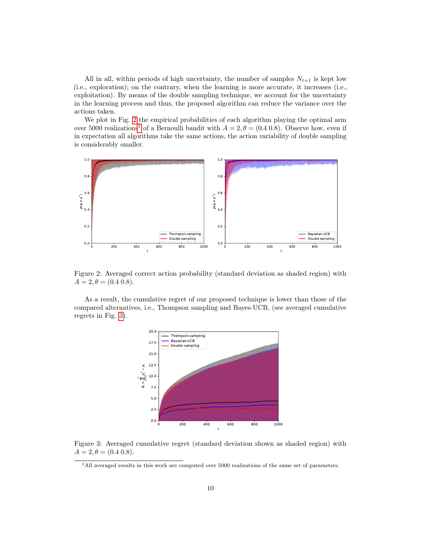All in all, within periods of high uncertainty, the number of samples  $N_{t+1}$  is kept low (i.e., exploration); on the contrary, when the learning is more accurate, it increases (i.e., exploitation). By means of the double sampling technique, we account for the uncertainty in the learning process and thus, the proposed algorithm can reduce the variance over the actions taken.

We plot in Fig. [2](#page-9-0) the empirical probabilities of each algorithm playing the optimal arm over 5000 realizations<sup>[1](#page-9-1)</sup> of a Bernoulli bandit with  $A = 2, \theta = (0.4, 0.8)$ . Observe how, even if in expectation all algorithms take the same actions, the action variability of double sampling is considerably smaller.

<span id="page-9-0"></span>

Figure 2: Averaged correct action probability (standard deviation as shaded region) with  $A = 2, \theta = (0.4, 0.8).$ 

<span id="page-9-2"></span>As a result, the cumulative regret of our proposed technique is lower than those of the compared alternatives, i.e., Thompson sampling and Bayes-UCB, (see averaged cumulative regrets in Fig. [3\)](#page-9-2).



Figure 3: Averaged cumulative regret (standard deviation shown as shaded region) with  $A = 2, \theta = (0.4, 0.8).$ 

<span id="page-9-1"></span><sup>1</sup>All averaged results in this work are computed over 5000 realizations of the same set of parameters.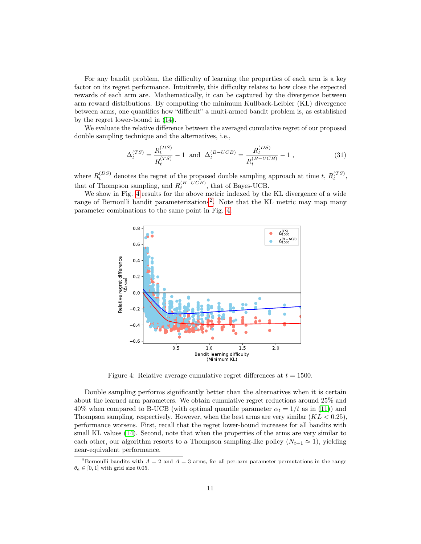For any bandit problem, the difficulty of learning the properties of each arm is a key factor on its regret performance. Intuitively, this difficulty relates to how close the expected rewards of each arm are. Mathematically, it can be captured by the divergence between arm reward distributions. By computing the minimum Kullback-Leibler (KL) divergence between arms, one quantifies how "difficult" a multi-armed bandit problem is, as established by the regret lower-bound in [\(14\)](#page-14-4).

We evaluate the relative difference between the averaged cumulative regret of our proposed double sampling technique and the alternatives, i.e.,

<span id="page-10-2"></span>
$$
\Delta_t^{(TS)} = \frac{R_t^{(DS)}}{R_t^{(TS)}} - 1 \text{ and } \Delta_t^{(B-UCB)} = \frac{R_t^{(DS)}}{R_t^{(B-UCB)}} - 1 ,\qquad (31)
$$

where  $R_t^{(DS)}$  denotes the regret of the proposed double sampling approach at time t,  $R_t^{(TS)}$ , that of Thompson sampling, and  $R_t^{(B-UCB)}$ , that of Bayes-UCB.

<span id="page-10-0"></span>We show in Fig. [4](#page-10-0) results for the above metric indexed by the KL divergence of a wide range of Bernoulli bandit parameterizations<sup>[2](#page-10-1)</sup>. Note that the KL metric may map many parameter combinations to the same point in Fig. [4.](#page-10-0)



Figure 4: Relative average cumulative regret differences at  $t = 1500$ .

Double sampling performs significantly better than the alternatives when it is certain about the learned arm parameters. We obtain cumulative regret reductions around 25% and 40% when compared to B-UCB (with optimal quantile parameter  $\alpha_t = 1/t$  as in [\(11\)](#page-14-6)) and Thompson sampling, respectively. However, when the best arms are very similar  $(KL < 0.25)$ , performance worsens. First, recall that the regret lower-bound increases for all bandits with small KL values [\(14\)](#page-14-4). Second, note that when the properties of the arms are very similar to each other, our algorithm resorts to a Thompson sampling-like policy  $(N_{t+1} \approx 1)$ , yielding near-equivalent performance.

<span id="page-10-1"></span><sup>&</sup>lt;sup>2</sup>Bernoulli bandits with  $A = 2$  and  $A = 3$  arms, for all per-arm parameter permutations in the range  $\theta_a \in [0, 1]$  with grid size 0.05.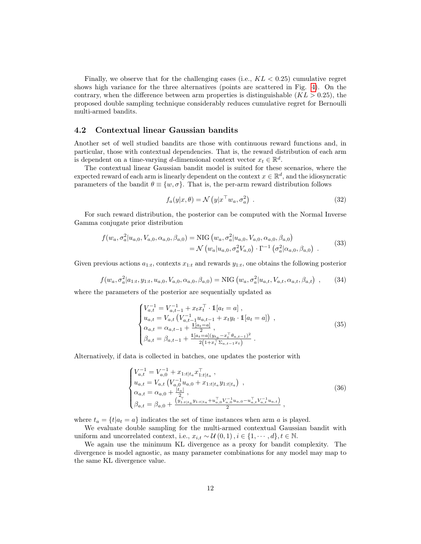Finally, we observe that for the challenging cases (i.e.,  $KL < 0.25$ ) cumulative regret shows high variance for the three alternatives (points are scattered in Fig. [4\)](#page-10-0). On the contrary, when the difference between arm properties is distinguishable  $(KL > 0.25)$ , the proposed double sampling technique considerably reduces cumulative regret for Bernoulli multi-armed bandits.

### 4.2 Contextual linear Gaussian bandits

Another set of well studied bandits are those with continuous reward functions and, in particular, those with contextual dependencies. That is, the reward distribution of each arm is dependent on a time-varying d-dimensional context vector  $x_t \in \mathbb{R}^d$ .

The contextual linear Gaussian bandit model is suited for these scenarios, where the expected reward of each arm is linearly dependent on the context  $x \in \mathbb{R}^d$ , and the idiosyncratic parameters of the bandit  $\theta \equiv \{w, \sigma\}$ . That is, the per-arm reward distribution follows

$$
f_a(y|x,\theta) = \mathcal{N}\left(y|x^\top w_a, \sigma_a^2\right) \tag{32}
$$

For such reward distribution, the posterior can be computed with the Normal Inverse Gamma conjugate prior distribution

$$
f(w_a, \sigma_a^2 | u_{a,0}, V_{a,0}, \alpha_{a,0}, \beta_{a,0}) = \text{NIG}(w_a, \sigma_a^2 | u_{a,0}, V_{a,0}, \alpha_{a,0}, \beta_{a,0})
$$
  
=  $\mathcal{N}(w_a | u_{a,0}, \sigma_a^2 V_{a,0}) \cdot \Gamma^{-1}(\sigma_a^2 | \alpha_{a,0}, \beta_{a,0})$  (33)

Given previous actions  $a_{1:t}$ , contexts  $x_{1:t}$  and rewards  $y_{1:t}$ , one obtains the following posterior

$$
f(w_a, \sigma_a^2 | a_{1:t}, y_{1:t}, u_{a,0}, V_{a,0}, \alpha_{a,0}, \beta_{a,0}) = \text{NIG}(w_a, \sigma_a^2 | u_{a,t}, V_{a,t}, \alpha_{a,t}, \beta_{a,t}) \tag{34}
$$

where the parameters of the posterior are sequentially updated as

$$
\begin{cases}\nV_{a,t}^{-1} = V_{a,t-1}^{-1} + x_t x_t^\top \cdot \mathbb{1}[a_t = a], \\
u_{a,t} = V_{a,t} \left( V_{a,t-1}^{-1} u_{a,t-1} + x_t y_t \cdot \mathbb{1}[a_t = a] \right), \\
\alpha_{a,t} = \alpha_{a,t-1} + \frac{\mathbb{1}[a_t = a]}{2}, \\
\beta_{a,t} = \beta_{a,t-1} + \frac{\mathbb{1}[a_t = a](y_{t_a} - x_t^\top \theta_{a,t-1})^2}{2(1 + x_t^\top \Sigma_{a,t-1} x_t)}.\n\end{cases} \tag{35}
$$

Alternatively, if data is collected in batches, one updates the posterior with

$$
\begin{cases}\nV_{a,t}^{-1} = V_{a,0}^{-1} + x_{1:t|t_a} x_{1:t|t_a}^{\top}, \nu_{a,t} = V_{a,t} \left( V_{a,0}^{-1} u_{a,0} + x_{1:t|t_a} y_{1:t|t_a} \right) , \n\alpha_{a,t} = \alpha_{a,0} + \frac{|t_a|}{2}, \n\beta_{a,t} = \beta_{a,0} + \frac{(y_{1:t|t_a}^{-1} y_{1:t|t_a} + u_{a,0}^{\top} V_{a,0}^{-1} u_{a,0} - u_{a,t}^{\top} V_{a,t}^{-1} u_{a,t})}{2},\n\end{cases}
$$
\n(36)

where  $t_a = \{t | a_t = a\}$  indicates the set of time instances when arm a is played.

We evaluate double sampling for the multi-armed contextual Gaussian bandit with uniform and uncorrelated context, i.e.,  $x_{i,t} \sim \mathcal{U}(0,1), i \in \{1, \cdots, d\}, t \in \mathbb{N}$ .

We again use the minimum KL divergence as a proxy for bandit complexity. The divergence is model agnostic, as many parameter combinations for any model may map to the same KL divergence value.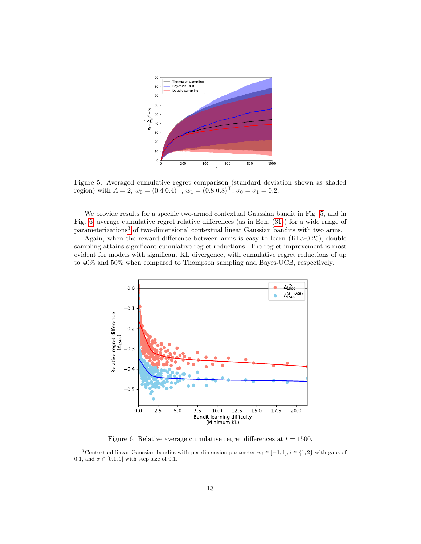<span id="page-12-0"></span>

Figure 5: Averaged cumulative regret comparison (standard deviation shown as shaded region) with  $A = 2$ ,  $w_0 = (0.4 \ 0.4)^{\top}$ ,  $w_1 = (0.8 \ 0.8)^{\top}$ ,  $\sigma_0 = \sigma_1 = 0.2$ .

We provide results for a specific two-armed contextual Gaussian bandit in Fig. [5,](#page-12-0) and in Fig. [6,](#page-12-1) average cumulative regret relative differences (as in Eqn. [\(31\)](#page-10-2)) for a wide range of parameterizations[3](#page-12-2) of two-dimensional contextual linear Gaussian bandits with two arms.

Again, when the reward difference between arms is easy to learn  $(KL>0.25)$ , double sampling attains significant cumulative regret reductions. The regret improvement is most evident for models with significant KL divergence, with cumulative regret reductions of up to 40% and 50% when compared to Thompson sampling and Bayes-UCB, respectively.

<span id="page-12-1"></span>

Figure 6: Relative average cumulative regret differences at  $t = 1500$ .

<span id="page-12-2"></span><sup>&</sup>lt;sup>3</sup>Contextual linear Gaussian bandits with per-dimension parameter  $w_i \in [-1,1], i \in \{1,2\}$  with gaps of 0.1, and  $\sigma \in [0.1, 1]$  with step size of 0.1.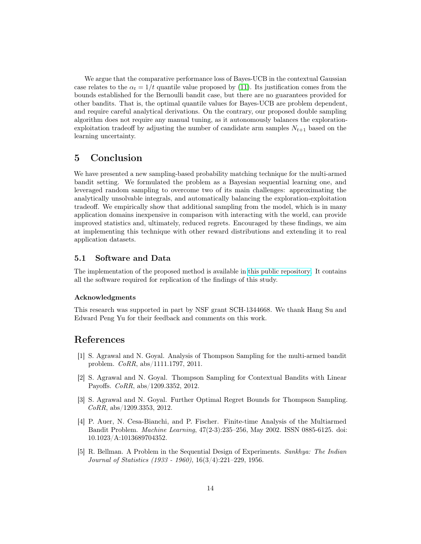We argue that the comparative performance loss of Bayes-UCB in the contextual Gaussian case relates to the  $\alpha_t = 1/t$  quantile value proposed by [\(11\)](#page-14-6). Its justification comes from the bounds established for the Bernoulli bandit case, but there are no guarantees provided for other bandits. That is, the optimal quantile values for Bayes-UCB are problem dependent, and require careful analytical derivations. On the contrary, our proposed double sampling algorithm does not require any manual tuning, as it autonomously balances the explorationexploitation tradeoff by adjusting the number of candidate arm samples  $N_{t+1}$  based on the learning uncertainty.

## <span id="page-13-4"></span>5 Conclusion

We have presented a new sampling-based probability matching technique for the multi-armed bandit setting. We formulated the problem as a Bayesian sequential learning one, and leveraged random sampling to overcome two of its main challenges: approximating the analytically unsolvable integrals, and automatically balancing the exploration-exploitation tradeoff. We empirically show that additional sampling from the model, which is in many application domains inexpensive in comparison with interacting with the world, can provide improved statistics and, ultimately, reduced regrets. Encouraged by these findings, we aim at implementing this technique with other reward distributions and extending it to real application datasets.

## 5.1 Software and Data

The implementation of the proposed method is available in [this public repository.](https://github.com/iurteaga/bandits) It contains all the software required for replication of the findings of this study.

#### Acknowledgments

This research was supported in part by NSF grant SCH-1344668. We thank Hang Su and Edward Peng Yu for their feedback and comments on this work.

## References

- <span id="page-13-1"></span>[1] S. Agrawal and N. Goyal. Analysis of Thompson Sampling for the multi-armed bandit problem. CoRR, abs/1111.1797, 2011.
- <span id="page-13-2"></span>[2] S. Agrawal and N. Goyal. Thompson Sampling for Contextual Bandits with Linear Payoffs. CoRR, abs/1209.3352, 2012.
- <span id="page-13-3"></span>[3] S. Agrawal and N. Goyal. Further Optimal Regret Bounds for Thompson Sampling. CoRR, abs/1209.3353, 2012.
- <span id="page-13-0"></span>[4] P. Auer, N. Cesa-Bianchi, and P. Fischer. Finite-time Analysis of the Multiarmed Bandit Problem. Machine Learning, 47(2-3):235–256, May 2002. ISSN 0885-6125. doi: 10.1023/A:1013689704352.
- <span id="page-13-5"></span>[5] R. Bellman. A Problem in the Sequential Design of Experiments. Sankhya: The Indian Journal of Statistics (1933 - 1960), 16(3/4):221–229, 1956.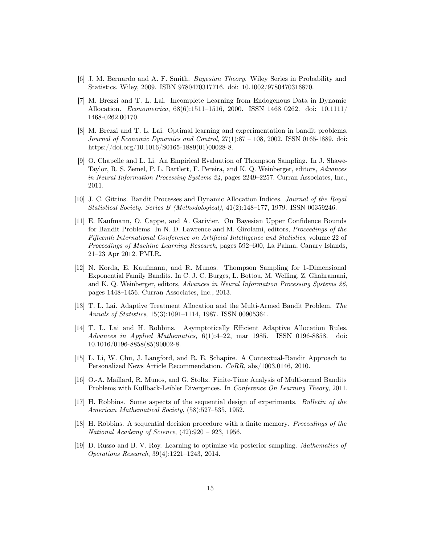- <span id="page-14-13"></span>[6] J. M. Bernardo and A. F. Smith. Bayesian Theory. Wiley Series in Probability and Statistics. Wiley, 2009. ISBN 9780470317716. doi: 10.1002/9780470316870.
- <span id="page-14-12"></span>[7] M. Brezzi and T. L. Lai. Incomplete Learning from Endogenous Data in Dynamic Allocation. Econometrica, 68(6):1511–1516, 2000. ISSN 1468 0262. doi: 10.1111/ 1468-0262.00170.
- <span id="page-14-3"></span>[8] M. Brezzi and T. L. Lai. Optimal learning and experimentation in bandit problems. Journal of Economic Dynamics and Control, 27(1):87 – 108, 2002. ISSN 0165-1889. doi: https://doi.org/10.1016/S0165-1889(01)00028-8.
- <span id="page-14-9"></span>[9] O. Chapelle and L. Li. An Empirical Evaluation of Thompson Sampling. In J. Shawe-Taylor, R. S. Zemel, P. L. Bartlett, F. Pereira, and K. Q. Weinberger, editors, Advances in Neural Information Processing Systems 24, pages 2249–2257. Curran Associates, Inc., 2011.
- <span id="page-14-2"></span>[10] J. C. Gittins. Bandit Processes and Dynamic Allocation Indices. Journal of the Royal Statistical Society. Series B (Methodological), 41(2):148–177, 1979. ISSN 00359246.
- <span id="page-14-6"></span>[11] E. Kaufmann, O. Cappe, and A. Garivier. On Bayesian Upper Confidence Bounds for Bandit Problems. In N. D. Lawrence and M. Girolami, editors, Proceedings of the Fifteenth International Conference on Artificial Intelligence and Statistics, volume 22 of Proceedings of Machine Learning Research, pages 592–600, La Palma, Canary Islands, 21–23 Apr 2012. PMLR.
- <span id="page-14-10"></span>[12] N. Korda, E. Kaufmann, and R. Munos. Thompson Sampling for 1-Dimensional Exponential Family Bandits. In C. J. C. Burges, L. Bottou, M. Welling, Z. Ghahramani, and K. Q. Weinberger, editors, Advances in Neural Information Processing Systems 26, pages 1448–1456. Curran Associates, Inc., 2013.
- <span id="page-14-5"></span>[13] T. L. Lai. Adaptive Treatment Allocation and the Multi-Armed Bandit Problem. The Annals of Statistics, 15(3):1091–1114, 1987. ISSN 00905364.
- <span id="page-14-4"></span>[14] T. L. Lai and H. Robbins. Asymptotically Efficient Adaptive Allocation Rules. Advances in Applied Mathematics, 6(1):4–22, mar 1985. ISSN 0196-8858. doi: 10.1016/0196-8858(85)90002-8.
- <span id="page-14-7"></span>[15] L. Li, W. Chu, J. Langford, and R. E. Schapire. A Contextual-Bandit Approach to Personalized News Article Recommendation. CoRR, abs/1003.0146, 2010.
- <span id="page-14-8"></span>[16] O.-A. Maillard, R. Munos, and G. Stoltz. Finite-Time Analysis of Multi-armed Bandits Problems with Kullback-Leibler Divergences. In Conference On Learning Theory, 2011.
- <span id="page-14-0"></span>[17] H. Robbins. Some aspects of the sequential design of experiments. Bulletin of the American Mathematical Society, (58):527–535, 1952.
- <span id="page-14-1"></span>[18] H. Robbins. A sequential decision procedure with a finite memory. Proceedings of the National Academy of Science, (42):920 – 923, 1956.
- <span id="page-14-11"></span>[19] D. Russo and B. V. Roy. Learning to optimize via posterior sampling. Mathematics of Operations Research, 39(4):1221–1243, 2014.